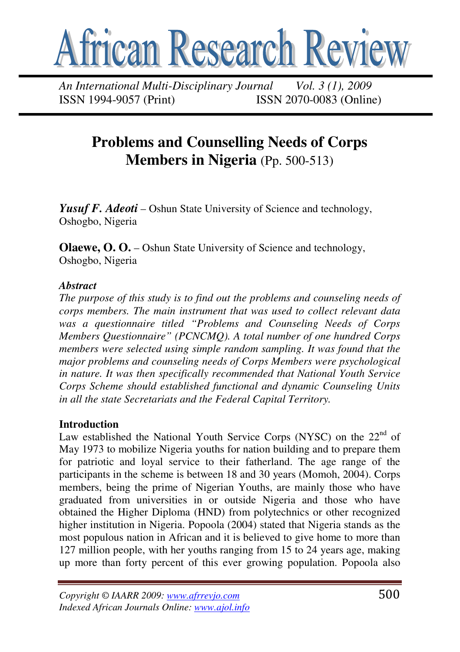

*An International Multi-Disciplinary Journal Vol. 3 (1), 2009*  ISSN 1994-9057 (Print) ISSN 2070-0083 (Online)

# **Problems and Counselling Needs of Corps Members in Nigeria** (Pp. 500-513)

*Yusuf F. Adeoti* – Oshun State University of Science and technology, Oshogbo, Nigeria

**Olaewe, O. O.** – Oshun State University of Science and technology, Oshogbo, Nigeria

## *Abstract*

*The purpose of this study is to find out the problems and counseling needs of corps members. The main instrument that was used to collect relevant data was a questionnaire titled "Problems and Counseling Needs of Corps Members Questionnaire" (PCNCMQ). A total number of one hundred Corps members were selected using simple random sampling. It was found that the major problems and counseling needs of Corps Members were psychological in nature. It was then specifically recommended that National Youth Service Corps Scheme should established functional and dynamic Counseling Units in all the state Secretariats and the Federal Capital Territory.* 

## **Introduction**

Law established the National Youth Service Corps (NYSC) on the 22<sup>nd</sup> of May 1973 to mobilize Nigeria youths for nation building and to prepare them for patriotic and loyal service to their fatherland. The age range of the participants in the scheme is between 18 and 30 years (Momoh, 2004). Corps members, being the prime of Nigerian Youths, are mainly those who have graduated from universities in or outside Nigeria and those who have obtained the Higher Diploma (HND) from polytechnics or other recognized higher institution in Nigeria. Popoola (2004) stated that Nigeria stands as the most populous nation in African and it is believed to give home to more than 127 million people, with her youths ranging from 15 to 24 years age, making up more than forty percent of this ever growing population. Popoola also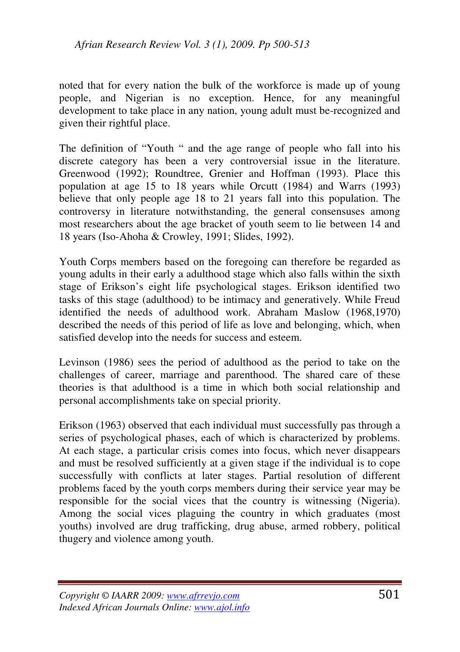noted that for every nation the bulk of the workforce is made up of young people, and Nigerian is no exception. Hence, for any meaningful development to take place in any nation, young adult must be-recognized and given their rightful place.

The definition of "Youth " and the age range of people who fall into his discrete category has been a very controversial issue in the literature. Greenwood (1992); Roundtree, Grenier and Hoffman (1993). Place this population at age 15 to 18 years while Orcutt (1984) and Warrs (1993) believe that only people age 18 to 21 years fall into this population. The controversy in literature notwithstanding, the general consensuses among most researchers about the age bracket of youth seem to lie between 14 and 18 years (Iso-Ahoha & Crowley, 1991; Slides, 1992).

Youth Corps members based on the foregoing can therefore be regarded as young adults in their early a adulthood stage which also falls within the sixth stage of Erikson's eight life psychological stages. Erikson identified two tasks of this stage (adulthood) to be intimacy and generatively. While Freud identified the needs of adulthood work. Abraham Maslow (1968,1970) described the needs of this period of life as love and belonging, which, when satisfied develop into the needs for success and esteem.

Levinson (1986) sees the period of adulthood as the period to take on the challenges of career, marriage and parenthood. The shared care of these theories is that adulthood is a time in which both social relationship and personal accomplishments take on special priority.

Erikson (1963) observed that each individual must successfully pas through a series of psychological phases, each of which is characterized by problems. At each stage, a particular crisis comes into focus, which never disappears and must be resolved sufficiently at a given stage if the individual is to cope successfully with conflicts at later stages. Partial resolution of different problems faced by the youth corps members during their service year may be responsible for the social vices that the country is witnessing (Nigeria). Among the social vices plaguing the country in which graduates (most youths) involved are drug trafficking, drug abuse, armed robbery, political thugery and violence among youth.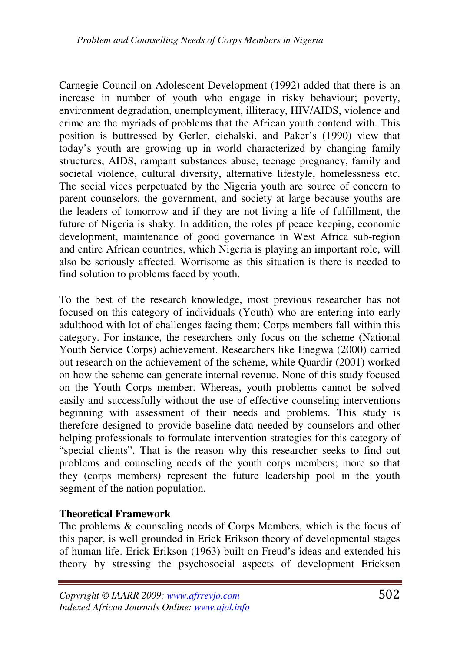Carnegie Council on Adolescent Development (1992) added that there is an increase in number of youth who engage in risky behaviour; poverty, environment degradation, unemployment, illiteracy, HIV/AIDS, violence and crime are the myriads of problems that the African youth contend with. This position is buttressed by Gerler, ciehalski, and Paker's (1990) view that today's youth are growing up in world characterized by changing family structures, AIDS, rampant substances abuse, teenage pregnancy, family and societal violence, cultural diversity, alternative lifestyle, homelessness etc. The social vices perpetuated by the Nigeria youth are source of concern to parent counselors, the government, and society at large because youths are the leaders of tomorrow and if they are not living a life of fulfillment, the future of Nigeria is shaky. In addition, the roles pf peace keeping, economic development, maintenance of good governance in West Africa sub-region and entire African countries, which Nigeria is playing an important role, will also be seriously affected. Worrisome as this situation is there is needed to find solution to problems faced by youth.

To the best of the research knowledge, most previous researcher has not focused on this category of individuals (Youth) who are entering into early adulthood with lot of challenges facing them; Corps members fall within this category. For instance, the researchers only focus on the scheme (National Youth Service Corps) achievement. Researchers like Enegwa (2000) carried out research on the achievement of the scheme, while Quardir (2001) worked on how the scheme can generate internal revenue. None of this study focused on the Youth Corps member. Whereas, youth problems cannot be solved easily and successfully without the use of effective counseling interventions beginning with assessment of their needs and problems. This study is therefore designed to provide baseline data needed by counselors and other helping professionals to formulate intervention strategies for this category of "special clients". That is the reason why this researcher seeks to find out problems and counseling needs of the youth corps members; more so that they (corps members) represent the future leadership pool in the youth segment of the nation population.

## **Theoretical Framework**

The problems & counseling needs of Corps Members, which is the focus of this paper, is well grounded in Erick Erikson theory of developmental stages of human life. Erick Erikson (1963) built on Freud's ideas and extended his theory by stressing the psychosocial aspects of development Erickson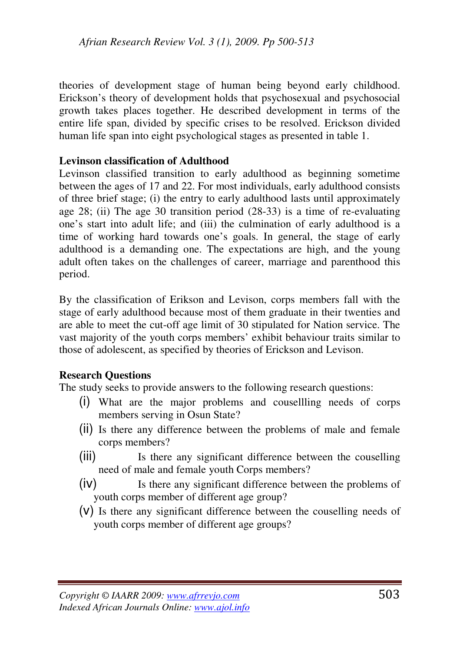theories of development stage of human being beyond early childhood. Erickson's theory of development holds that psychosexual and psychosocial growth takes places together. He described development in terms of the entire life span, divided by specific crises to be resolved. Erickson divided human life span into eight psychological stages as presented in table 1.

## **Levinson classification of Adulthood**

Levinson classified transition to early adulthood as beginning sometime between the ages of 17 and 22. For most individuals, early adulthood consists of three brief stage; (i) the entry to early adulthood lasts until approximately age 28; (ii) The age 30 transition period (28-33) is a time of re-evaluating one's start into adult life; and (iii) the culmination of early adulthood is a time of working hard towards one's goals. In general, the stage of early adulthood is a demanding one. The expectations are high, and the young adult often takes on the challenges of career, marriage and parenthood this period.

By the classification of Erikson and Levison, corps members fall with the stage of early adulthood because most of them graduate in their twenties and are able to meet the cut-off age limit of 30 stipulated for Nation service. The vast majority of the youth corps members' exhibit behaviour traits similar to those of adolescent, as specified by theories of Erickson and Levison.

## **Research Questions**

The study seeks to provide answers to the following research questions:

- (i) What are the major problems and cousellling needs of corps members serving in Osun State?
- (ii) Is there any difference between the problems of male and female corps members?
- (iii) Is there any significant difference between the couselling need of male and female youth Corps members?
- (iv) Is there any significant difference between the problems of youth corps member of different age group?
- (v) Is there any significant difference between the couselling needs of youth corps member of different age groups?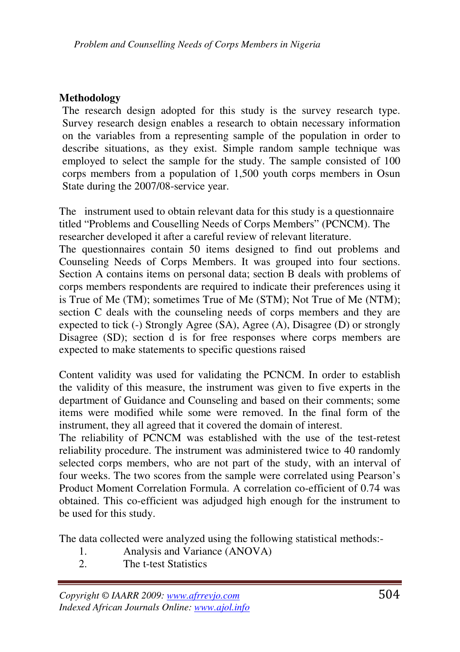# **Methodology**

The research design adopted for this study is the survey research type. Survey research design enables a research to obtain necessary information on the variables from a representing sample of the population in order to describe situations, as they exist. Simple random sample technique was employed to select the sample for the study. The sample consisted of 100 corps members from a population of 1,500 youth corps members in Osun State during the 2007/08-service year.

The instrument used to obtain relevant data for this study is a questionnaire titled "Problems and Couselling Needs of Corps Members" (PCNCM). The researcher developed it after a careful review of relevant literature.

The questionnaires contain 50 items designed to find out problems and Counseling Needs of Corps Members. It was grouped into four sections. Section A contains items on personal data; section B deals with problems of corps members respondents are required to indicate their preferences using it is True of Me (TM); sometimes True of Me (STM); Not True of Me (NTM); section C deals with the counseling needs of corps members and they are expected to tick (-) Strongly Agree (SA), Agree (A), Disagree (D) or strongly Disagree (SD); section d is for free responses where corps members are expected to make statements to specific questions raised

Content validity was used for validating the PCNCM. In order to establish the validity of this measure, the instrument was given to five experts in the department of Guidance and Counseling and based on their comments; some items were modified while some were removed. In the final form of the instrument, they all agreed that it covered the domain of interest.

The reliability of PCNCM was established with the use of the test-retest reliability procedure. The instrument was administered twice to 40 randomly selected corps members, who are not part of the study, with an interval of four weeks. The two scores from the sample were correlated using Pearson's Product Moment Correlation Formula. A correlation co-efficient of 0.74 was obtained. This co-efficient was adjudged high enough for the instrument to be used for this study.

The data collected were analyzed using the following statistical methods:-

- 1. Analysis and Variance (ANOVA)
- 2. The t-test Statistics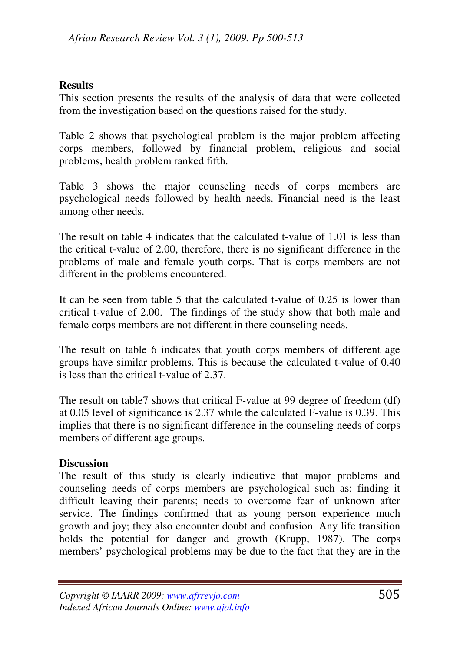# **Results**

This section presents the results of the analysis of data that were collected from the investigation based on the questions raised for the study.

Table 2 shows that psychological problem is the major problem affecting corps members, followed by financial problem, religious and social problems, health problem ranked fifth.

Table 3 shows the major counseling needs of corps members are psychological needs followed by health needs. Financial need is the least among other needs.

The result on table 4 indicates that the calculated t-value of 1.01 is less than the critical t-value of 2.00, therefore, there is no significant difference in the problems of male and female youth corps. That is corps members are not different in the problems encountered.

It can be seen from table 5 that the calculated t-value of 0.25 is lower than critical t-value of 2.00. The findings of the study show that both male and female corps members are not different in there counseling needs.

The result on table 6 indicates that youth corps members of different age groups have similar problems. This is because the calculated t-value of 0.40 is less than the critical t-value of 2.37.

The result on table7 shows that critical F-value at 99 degree of freedom (df) at 0.05 level of significance is 2.37 while the calculated F-value is 0.39. This implies that there is no significant difference in the counseling needs of corps members of different age groups.

## **Discussion**

The result of this study is clearly indicative that major problems and counseling needs of corps members are psychological such as: finding it difficult leaving their parents; needs to overcome fear of unknown after service. The findings confirmed that as young person experience much growth and joy; they also encounter doubt and confusion. Any life transition holds the potential for danger and growth (Krupp, 1987). The corps members' psychological problems may be due to the fact that they are in the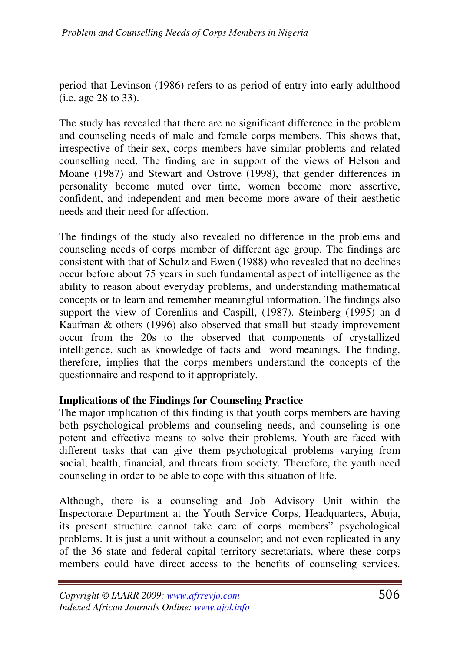period that Levinson (1986) refers to as period of entry into early adulthood (i.e. age 28 to 33).

The study has revealed that there are no significant difference in the problem and counseling needs of male and female corps members. This shows that, irrespective of their sex, corps members have similar problems and related counselling need. The finding are in support of the views of Helson and Moane (1987) and Stewart and Ostrove (1998), that gender differences in personality become muted over time, women become more assertive, confident, and independent and men become more aware of their aesthetic needs and their need for affection.

The findings of the study also revealed no difference in the problems and counseling needs of corps member of different age group. The findings are consistent with that of Schulz and Ewen (1988) who revealed that no declines occur before about 75 years in such fundamental aspect of intelligence as the ability to reason about everyday problems, and understanding mathematical concepts or to learn and remember meaningful information. The findings also support the view of Corenlius and Caspill, (1987). Steinberg (1995) an d Kaufman & others (1996) also observed that small but steady improvement occur from the 20s to the observed that components of crystallized intelligence, such as knowledge of facts and word meanings. The finding, therefore, implies that the corps members understand the concepts of the questionnaire and respond to it appropriately.

## **Implications of the Findings for Counseling Practice**

The major implication of this finding is that youth corps members are having both psychological problems and counseling needs, and counseling is one potent and effective means to solve their problems. Youth are faced with different tasks that can give them psychological problems varying from social, health, financial, and threats from society. Therefore, the youth need counseling in order to be able to cope with this situation of life.

Although, there is a counseling and Job Advisory Unit within the Inspectorate Department at the Youth Service Corps, Headquarters, Abuja, its present structure cannot take care of corps members" psychological problems. It is just a unit without a counselor; and not even replicated in any of the 36 state and federal capital territory secretariats, where these corps members could have direct access to the benefits of counseling services.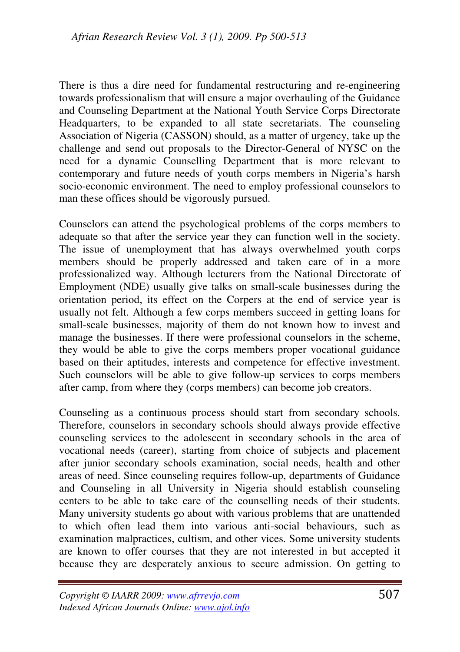There is thus a dire need for fundamental restructuring and re-engineering towards professionalism that will ensure a major overhauling of the Guidance and Counseling Department at the National Youth Service Corps Directorate Headquarters, to be expanded to all state secretariats. The counseling Association of Nigeria (CASSON) should, as a matter of urgency, take up the challenge and send out proposals to the Director-General of NYSC on the need for a dynamic Counselling Department that is more relevant to contemporary and future needs of youth corps members in Nigeria's harsh socio-economic environment. The need to employ professional counselors to man these offices should be vigorously pursued.

Counselors can attend the psychological problems of the corps members to adequate so that after the service year they can function well in the society. The issue of unemployment that has always overwhelmed youth corps members should be properly addressed and taken care of in a more professionalized way. Although lecturers from the National Directorate of Employment (NDE) usually give talks on small-scale businesses during the orientation period, its effect on the Corpers at the end of service year is usually not felt. Although a few corps members succeed in getting loans for small-scale businesses, majority of them do not known how to invest and manage the businesses. If there were professional counselors in the scheme, they would be able to give the corps members proper vocational guidance based on their aptitudes, interests and competence for effective investment. Such counselors will be able to give follow-up services to corps members after camp, from where they (corps members) can become job creators.

Counseling as a continuous process should start from secondary schools. Therefore, counselors in secondary schools should always provide effective counseling services to the adolescent in secondary schools in the area of vocational needs (career), starting from choice of subjects and placement after junior secondary schools examination, social needs, health and other areas of need. Since counseling requires follow-up, departments of Guidance and Counseling in all University in Nigeria should establish counseling centers to be able to take care of the counselling needs of their students. Many university students go about with various problems that are unattended to which often lead them into various anti-social behaviours, such as examination malpractices, cultism, and other vices. Some university students are known to offer courses that they are not interested in but accepted it because they are desperately anxious to secure admission. On getting to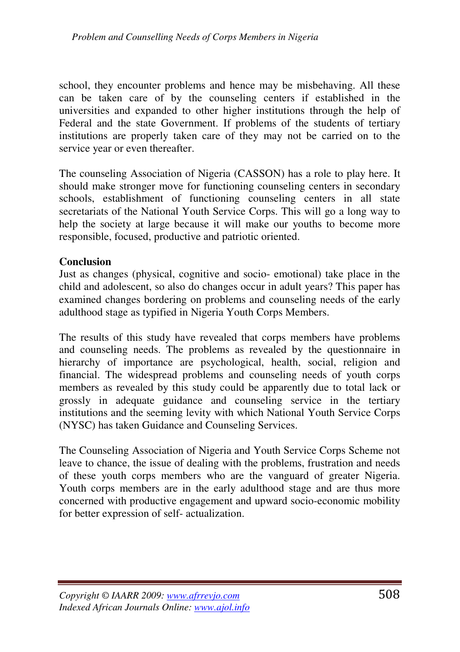school, they encounter problems and hence may be misbehaving. All these can be taken care of by the counseling centers if established in the universities and expanded to other higher institutions through the help of Federal and the state Government. If problems of the students of tertiary institutions are properly taken care of they may not be carried on to the service year or even thereafter.

The counseling Association of Nigeria (CASSON) has a role to play here. It should make stronger move for functioning counseling centers in secondary schools, establishment of functioning counseling centers in all state secretariats of the National Youth Service Corps. This will go a long way to help the society at large because it will make our youths to become more responsible, focused, productive and patriotic oriented.

## **Conclusion**

Just as changes (physical, cognitive and socio- emotional) take place in the child and adolescent, so also do changes occur in adult years? This paper has examined changes bordering on problems and counseling needs of the early adulthood stage as typified in Nigeria Youth Corps Members.

The results of this study have revealed that corps members have problems and counseling needs. The problems as revealed by the questionnaire in hierarchy of importance are psychological, health, social, religion and financial. The widespread problems and counseling needs of youth corps members as revealed by this study could be apparently due to total lack or grossly in adequate guidance and counseling service in the tertiary institutions and the seeming levity with which National Youth Service Corps (NYSC) has taken Guidance and Counseling Services.

The Counseling Association of Nigeria and Youth Service Corps Scheme not leave to chance, the issue of dealing with the problems, frustration and needs of these youth corps members who are the vanguard of greater Nigeria. Youth corps members are in the early adulthood stage and are thus more concerned with productive engagement and upward socio-economic mobility for better expression of self- actualization.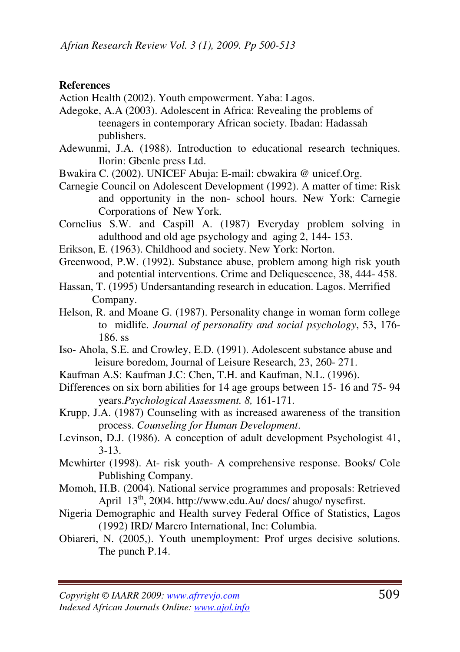## **References**

Action Health (2002). Youth empowerment. Yaba: Lagos.

- Adegoke, A.A (2003). Adolescent in Africa: Revealing the problems of teenagers in contemporary African society. Ibadan: Hadassah publishers.
- Adewunmi, J.A. (1988). Introduction to educational research techniques. Ilorin: Gbenle press Ltd.
- Bwakira C. (2002). UNICEF Abuja: E-mail: cbwakira @ unicef.Org.
- Carnegie Council on Adolescent Development (1992). A matter of time: Risk and opportunity in the non- school hours. New York: Carnegie Corporations of New York.
- Cornelius S.W. and Caspill A. (1987) Everyday problem solving in adulthood and old age psychology and aging 2, 144- 153.
- Erikson, E. (1963). Childhood and society. New York: Norton.
- Greenwood, P.W. (1992). Substance abuse, problem among high risk youth and potential interventions. Crime and Deliquescence, 38, 444- 458.
- Hassan, T. (1995) Undersantanding research in education. Lagos. Merrified Company.
- Helson, R. and Moane G. (1987). Personality change in woman form college to midlife. *Journal of personality and social psychology*, 53, 176- 186. ss
- Iso- Ahola, S.E. and Crowley, E.D. (1991). Adolescent substance abuse and leisure boredom, Journal of Leisure Research, 23, 260- 271.
- Kaufman A.S: Kaufman J.C: Chen, T.H. and Kaufman, N.L. (1996).
- Differences on six born abilities for 14 age groups between 15- 16 and 75- 94 years.*Psychological Assessment. 8,* 161-171.
- Krupp, J.A. (1987) Counseling with as increased awareness of the transition process. *Counseling for Human Development*.
- Levinson, D.J. (1986). A conception of adult development Psychologist 41, 3-13.
- Mcwhirter (1998). At- risk youth- A comprehensive response. Books/ Cole Publishing Company.
- Momoh, H.B. (2004). National service programmes and proposals: Retrieved April 13th, 2004. http://www.edu.Au/ docs/ ahugo/ nyscfirst.
- Nigeria Demographic and Health survey Federal Office of Statistics, Lagos (1992) IRD/ Marcro International, Inc: Columbia.
- Obiareri, N. (2005,). Youth unemployment: Prof urges decisive solutions. The punch P.14.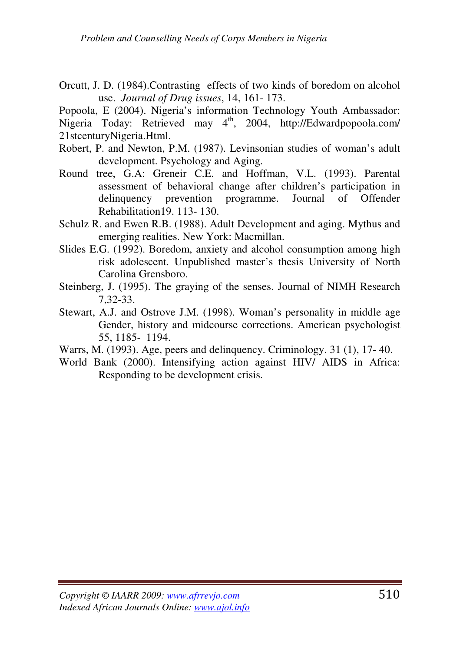Orcutt, J. D. (1984).Contrasting effects of two kinds of boredom on alcohol use. *Journal of Drug issues*, 14, 161- 173.

Popoola, E (2004). Nigeria's information Technology Youth Ambassador: Nigeria Today: Retrieved may 4<sup>th</sup>, 2004, http://Edwardpopoola.com/ 21stcenturyNigeria.Html.

- Robert, P. and Newton, P.M. (1987). Levinsonian studies of woman's adult development. Psychology and Aging.
- Round tree, G.A: Greneir C.E. and Hoffman, V.L. (1993). Parental assessment of behavioral change after children's participation in delinquency prevention programme. Journal of Offender Rehabilitation19. 113- 130.
- Schulz R. and Ewen R.B. (1988). Adult Development and aging. Mythus and emerging realities. New York: Macmillan.
- Slides E.G. (1992). Boredom, anxiety and alcohol consumption among high risk adolescent. Unpublished master's thesis University of North Carolina Grensboro.
- Steinberg, J. (1995). The graying of the senses. Journal of NIMH Research 7,32-33.
- Stewart, A.J. and Ostrove J.M. (1998). Woman's personality in middle age Gender, history and midcourse corrections. American psychologist 55, 1185- 1194.
- Warrs, M. (1993). Age, peers and delinquency. Criminology. 31 (1), 17- 40.
- World Bank (2000). Intensifying action against HIV/ AIDS in Africa: Responding to be development crisis.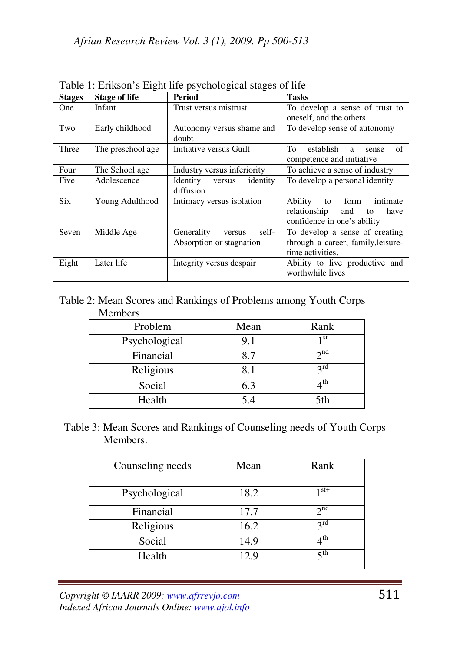| <b>Stages</b> | <b>Stage of life</b> | Period                                                    | <b>Tasks</b>                                                                                          |  |  |
|---------------|----------------------|-----------------------------------------------------------|-------------------------------------------------------------------------------------------------------|--|--|
| One           | Infant               | Trust versus mistrust                                     | To develop a sense of trust to<br>oneself, and the others                                             |  |  |
| Two           | Early childhood      | Autonomy versus shame and<br>doubt                        | To develop sense of autonomy                                                                          |  |  |
| Three         | The preschool age    | Initiative versus Guilt                                   | To<br>establish<br>of<br>a<br>sense<br>competence and initiative                                      |  |  |
| Four          | The School age       | Industry versus inferiority                               | To achieve a sense of industry                                                                        |  |  |
| Five          | Adolescence          | Identity<br>identity<br>versus<br>diffusion               | To develop a personal identity                                                                        |  |  |
| <b>Six</b>    | Young Adulthood      | Intimacy versus isolation                                 | form<br>intimate<br>Ability<br>to<br>relationship<br>and<br>have<br>to<br>confidence in one's ability |  |  |
| Seven         | Middle Age           | Generality<br>self-<br>versus<br>Absorption or stagnation | To develop a sense of creating<br>through a career, family, leisure-<br>time activities.              |  |  |
| Eight         | Later life           | Integrity versus despair                                  | Ability to live productive and<br>worthwhile lives                                                    |  |  |

Table 1: Erikson's Eight life psychological stages of life

Table 2: Mean Scores and Rankings of Problems among Youth Corps **Members** 

| Problem       | Mean | Rank            |
|---------------|------|-----------------|
| Psychological | 9.1  | 1 st            |
| Financial     | 8.7  | $2^{nd}$        |
| Religious     | 8.1  | $2^{\text{rd}}$ |
| Social        | 6.3  | ⊿tn             |
| Health        | 5.4  | 5th             |

Table 3: Mean Scores and Rankings of Counseling needs of Youth Corps **Members** 

| Counseling needs | Mean | Rank                 |
|------------------|------|----------------------|
| Psychological    | 18.2 | $1$ st+              |
| Financial        | 17.7 | 2 <sup>nd</sup>      |
| Religious        | 16.2 | $2^{\text{rd}}$      |
| Social           | 14.9 | 4 <sup>th</sup>      |
| Health           | 12.9 | $\leq$ <sup>th</sup> |

*Copyright © IAARR 2009: www.afrrevjo.com* 511 *Indexed African Journals Online: www.ajol.info*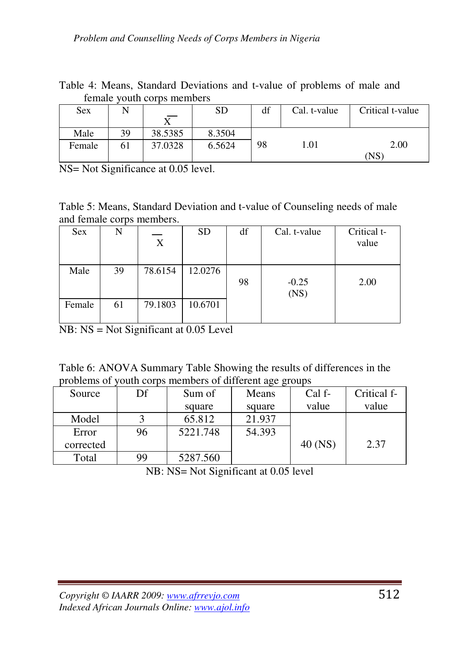Table 4: Means, Standard Deviations and t-value of problems of male and female youth corps members

| <b>Sex</b> |    |         | <b>SD</b> | df | Cal. t-value | Critical t-value |
|------------|----|---------|-----------|----|--------------|------------------|
| Male       | 39 | 38.5385 | 8.3504    |    |              |                  |
| Female     | 61 | 37.0328 | 6.5624    | 98 | 1.01         | 2.00<br>NS)      |

NS= Not Significance at 0.05 level.

Table 5: Means, Standard Deviation and t-value of Counseling needs of male and female corps members.

| <b>Sex</b> | N  | $\mathbf X$ | <b>SD</b> | df | Cal. t-value | Critical t-<br>value |
|------------|----|-------------|-----------|----|--------------|----------------------|
|            |    |             |           |    |              |                      |
| Male       | 39 | 78.6154     | 12.0276   |    |              |                      |
|            |    |             |           | 98 | $-0.25$      | 2.00                 |
|            |    |             |           |    | (NS)         |                      |
| Female     | 61 | 79.1803     | 10.6701   |    |              |                      |
|            |    |             |           |    |              |                      |

NB: NS = Not Significant at 0.05 Level

| Table 6: ANOVA Summary Table Showing the results of differences in the |  |  |  |
|------------------------------------------------------------------------|--|--|--|
| problems of youth corps members of different age groups                |  |  |  |

| Source    | Df | Sum of   | Means  | Cal f-  | Critical f- |
|-----------|----|----------|--------|---------|-------------|
|           |    | square   | square | value   | value       |
| Model     |    | 65.812   | 21.937 |         |             |
| Error     | 96 | 5221.748 | 54.393 |         |             |
| corrected |    |          |        | 40 (NS) | 2.37        |
| Total     | 99 | 5287.560 |        |         |             |

NB: NS= Not Significant at 0.05 level